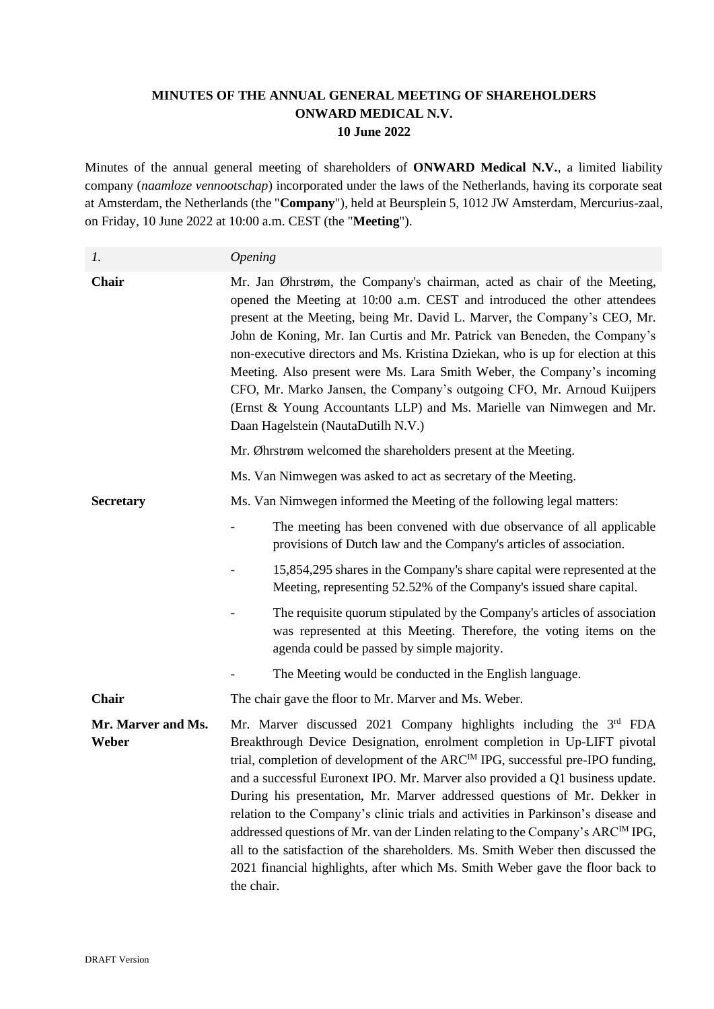## **MINUTES OF THE ANNUAL GENERAL MEETING OF SHAREHOLDERS ONWARD MEDICAL N.V. 10 June 2022**

Minutes of the annual general meeting of shareholders of **ONWARD Medical N.V.**, a limited liability company (*naamloze vennootschap*) incorporated under the laws of the Netherlands, having its corporate seat at Amsterdam, the Netherlands (the "**Company**"), held at Beursplein 5, 1012 JW Amsterdam, Mercurius-zaal, on Friday, 10 June 2022 at 10:00 a.m. CEST (the "**Meeting**").

*1. Opening*

| Chair                       | Mr. Jan Øhrstrøm, the Company's chairman, acted as chair of the Meeting,<br>opened the Meeting at 10:00 a.m. CEST and introduced the other attendees<br>present at the Meeting, being Mr. David L. Marver, the Company's CEO, Mr.<br>John de Koning, Mr. Ian Curtis and Mr. Patrick van Beneden, the Company's<br>non-executive directors and Ms. Kristina Dziekan, who is up for election at this<br>Meeting. Also present were Ms. Lara Smith Weber, the Company's incoming<br>CFO, Mr. Marko Jansen, the Company's outgoing CFO, Mr. Arnoud Kuijpers<br>(Ernst & Young Accountants LLP) and Ms. Marielle van Nimwegen and Mr.<br>Daan Hagelstein (NautaDutilh N.V.)                                                                                                         |
|-----------------------------|--------------------------------------------------------------------------------------------------------------------------------------------------------------------------------------------------------------------------------------------------------------------------------------------------------------------------------------------------------------------------------------------------------------------------------------------------------------------------------------------------------------------------------------------------------------------------------------------------------------------------------------------------------------------------------------------------------------------------------------------------------------------------------|
|                             | Mr. Øhrstrøm welcomed the shareholders present at the Meeting.                                                                                                                                                                                                                                                                                                                                                                                                                                                                                                                                                                                                                                                                                                                 |
|                             | Ms. Van Nimwegen was asked to act as secretary of the Meeting.                                                                                                                                                                                                                                                                                                                                                                                                                                                                                                                                                                                                                                                                                                                 |
| <b>Secretary</b>            | Ms. Van Nimwegen informed the Meeting of the following legal matters:                                                                                                                                                                                                                                                                                                                                                                                                                                                                                                                                                                                                                                                                                                          |
|                             | The meeting has been convened with due observance of all applicable<br>provisions of Dutch law and the Company's articles of association.                                                                                                                                                                                                                                                                                                                                                                                                                                                                                                                                                                                                                                      |
|                             | 15,854,295 shares in the Company's share capital were represented at the<br>Meeting, representing 52.52% of the Company's issued share capital.                                                                                                                                                                                                                                                                                                                                                                                                                                                                                                                                                                                                                                |
|                             | The requisite quorum stipulated by the Company's articles of association<br>was represented at this Meeting. Therefore, the voting items on the<br>agenda could be passed by simple majority.                                                                                                                                                                                                                                                                                                                                                                                                                                                                                                                                                                                  |
|                             | The Meeting would be conducted in the English language.                                                                                                                                                                                                                                                                                                                                                                                                                                                                                                                                                                                                                                                                                                                        |
| <b>Chair</b>                | The chair gave the floor to Mr. Marver and Ms. Weber.                                                                                                                                                                                                                                                                                                                                                                                                                                                                                                                                                                                                                                                                                                                          |
| Mr. Marver and Ms.<br>Weber | Mr. Marver discussed 2021 Company highlights including the 3rd FDA<br>Breakthrough Device Designation, enrolment completion in Up-LIFT pivotal<br>trial, completion of development of the ARC <sup>IM</sup> IPG, successful pre-IPO funding,<br>and a successful Euronext IPO. Mr. Marver also provided a Q1 business update.<br>During his presentation, Mr. Marver addressed questions of Mr. Dekker in<br>relation to the Company's clinic trials and activities in Parkinson's disease and<br>addressed questions of Mr. van der Linden relating to the Company's ARC <sup>IM</sup> IPG,<br>all to the satisfaction of the shareholders. Ms. Smith Weber then discussed the<br>2021 financial highlights, after which Ms. Smith Weber gave the floor back to<br>the chair. |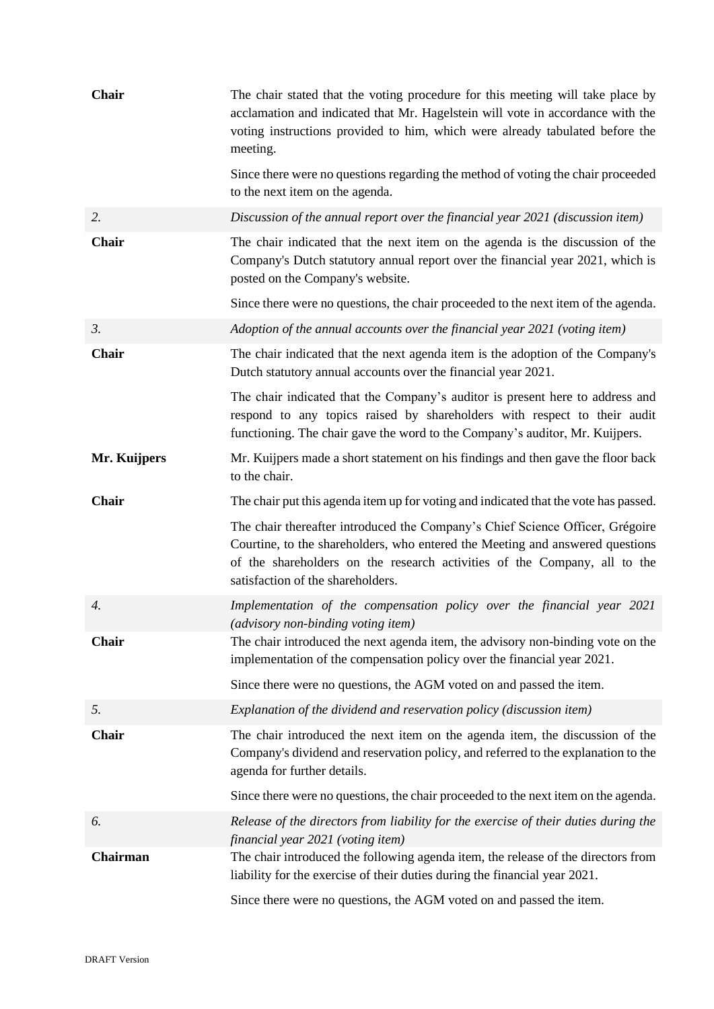| Chair           | The chair stated that the voting procedure for this meeting will take place by<br>acclamation and indicated that Mr. Hagelstein will vote in accordance with the<br>voting instructions provided to him, which were already tabulated before the<br>meeting.                     |
|-----------------|----------------------------------------------------------------------------------------------------------------------------------------------------------------------------------------------------------------------------------------------------------------------------------|
|                 | Since there were no questions regarding the method of voting the chair proceeded<br>to the next item on the agenda.                                                                                                                                                              |
| 2.              | Discussion of the annual report over the financial year 2021 (discussion item)                                                                                                                                                                                                   |
| <b>Chair</b>    | The chair indicated that the next item on the agenda is the discussion of the<br>Company's Dutch statutory annual report over the financial year 2021, which is<br>posted on the Company's website.                                                                              |
|                 | Since there were no questions, the chair proceeded to the next item of the agenda.                                                                                                                                                                                               |
| $\mathfrak{Z}.$ | Adoption of the annual accounts over the financial year 2021 (voting item)                                                                                                                                                                                                       |
| Chair           | The chair indicated that the next agenda item is the adoption of the Company's<br>Dutch statutory annual accounts over the financial year 2021.                                                                                                                                  |
|                 | The chair indicated that the Company's auditor is present here to address and<br>respond to any topics raised by shareholders with respect to their audit<br>functioning. The chair gave the word to the Company's auditor, Mr. Kuijpers.                                        |
| Mr. Kuijpers    | Mr. Kuijpers made a short statement on his findings and then gave the floor back<br>to the chair.                                                                                                                                                                                |
| Chair           | The chair put this agenda item up for voting and indicated that the vote has passed.                                                                                                                                                                                             |
|                 | The chair thereafter introduced the Company's Chief Science Officer, Grégoire<br>Courtine, to the shareholders, who entered the Meeting and answered questions<br>of the shareholders on the research activities of the Company, all to the<br>satisfaction of the shareholders. |
| 4.              | Implementation of the compensation policy over the financial year 2021<br>(advisory non-binding voting item)                                                                                                                                                                     |
| Chair           | The chair introduced the next agenda item, the advisory non-binding vote on the<br>implementation of the compensation policy over the financial year 2021.                                                                                                                       |
|                 | Since there were no questions, the AGM voted on and passed the item.                                                                                                                                                                                                             |
| 5.              | Explanation of the dividend and reservation policy (discussion item)                                                                                                                                                                                                             |
| Chair           | The chair introduced the next item on the agenda item, the discussion of the<br>Company's dividend and reservation policy, and referred to the explanation to the<br>agenda for further details.                                                                                 |
|                 | Since there were no questions, the chair proceeded to the next item on the agenda.                                                                                                                                                                                               |
| 6.              | Release of the directors from liability for the exercise of their duties during the<br>financial year 2021 (voting item)                                                                                                                                                         |
| Chairman        | The chair introduced the following agenda item, the release of the directors from<br>liability for the exercise of their duties during the financial year 2021.                                                                                                                  |
|                 | Since there were no questions, the AGM voted on and passed the item.                                                                                                                                                                                                             |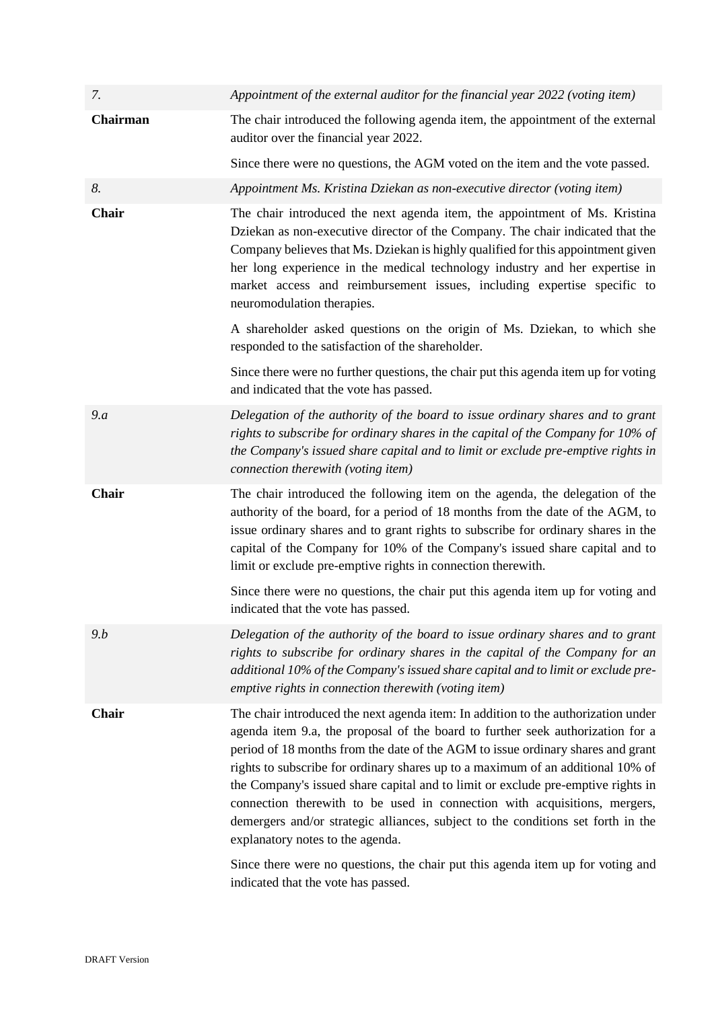| 7.           | Appointment of the external auditor for the financial year 2022 (voting item)                                                                                                                                                                                                                                                                                                                                                                                                                                                                                                                                                                                                                                                                                |
|--------------|--------------------------------------------------------------------------------------------------------------------------------------------------------------------------------------------------------------------------------------------------------------------------------------------------------------------------------------------------------------------------------------------------------------------------------------------------------------------------------------------------------------------------------------------------------------------------------------------------------------------------------------------------------------------------------------------------------------------------------------------------------------|
| Chairman     | The chair introduced the following agenda item, the appointment of the external<br>auditor over the financial year 2022.                                                                                                                                                                                                                                                                                                                                                                                                                                                                                                                                                                                                                                     |
|              | Since there were no questions, the AGM voted on the item and the vote passed.                                                                                                                                                                                                                                                                                                                                                                                                                                                                                                                                                                                                                                                                                |
| 8.           | Appointment Ms. Kristina Dziekan as non-executive director (voting item)                                                                                                                                                                                                                                                                                                                                                                                                                                                                                                                                                                                                                                                                                     |
| Chair        | The chair introduced the next agenda item, the appointment of Ms. Kristina<br>Dziekan as non-executive director of the Company. The chair indicated that the<br>Company believes that Ms. Dziekan is highly qualified for this appointment given<br>her long experience in the medical technology industry and her expertise in<br>market access and reimbursement issues, including expertise specific to<br>neuromodulation therapies.                                                                                                                                                                                                                                                                                                                     |
|              | A shareholder asked questions on the origin of Ms. Dziekan, to which she<br>responded to the satisfaction of the shareholder.                                                                                                                                                                                                                                                                                                                                                                                                                                                                                                                                                                                                                                |
|              | Since there were no further questions, the chair put this agenda item up for voting<br>and indicated that the vote has passed.                                                                                                                                                                                                                                                                                                                                                                                                                                                                                                                                                                                                                               |
| 9.a          | Delegation of the authority of the board to issue ordinary shares and to grant<br>rights to subscribe for ordinary shares in the capital of the Company for 10% of<br>the Company's issued share capital and to limit or exclude pre-emptive rights in<br>connection therewith (voting item)                                                                                                                                                                                                                                                                                                                                                                                                                                                                 |
| <b>Chair</b> | The chair introduced the following item on the agenda, the delegation of the<br>authority of the board, for a period of 18 months from the date of the AGM, to<br>issue ordinary shares and to grant rights to subscribe for ordinary shares in the<br>capital of the Company for 10% of the Company's issued share capital and to<br>limit or exclude pre-emptive rights in connection therewith.                                                                                                                                                                                                                                                                                                                                                           |
|              | Since there were no questions, the chair put this agenda item up for voting and<br>indicated that the vote has passed.                                                                                                                                                                                                                                                                                                                                                                                                                                                                                                                                                                                                                                       |
| 9.b          | Delegation of the authority of the board to issue ordinary shares and to grant<br>rights to subscribe for ordinary shares in the capital of the Company for an<br>additional 10% of the Company's issued share capital and to limit or exclude pre-<br>emptive rights in connection therewith (voting item)                                                                                                                                                                                                                                                                                                                                                                                                                                                  |
| <b>Chair</b> | The chair introduced the next agenda item: In addition to the authorization under<br>agenda item 9.a, the proposal of the board to further seek authorization for a<br>period of 18 months from the date of the AGM to issue ordinary shares and grant<br>rights to subscribe for ordinary shares up to a maximum of an additional 10% of<br>the Company's issued share capital and to limit or exclude pre-emptive rights in<br>connection therewith to be used in connection with acquisitions, mergers,<br>demergers and/or strategic alliances, subject to the conditions set forth in the<br>explanatory notes to the agenda.<br>Since there were no questions, the chair put this agenda item up for voting and<br>indicated that the vote has passed. |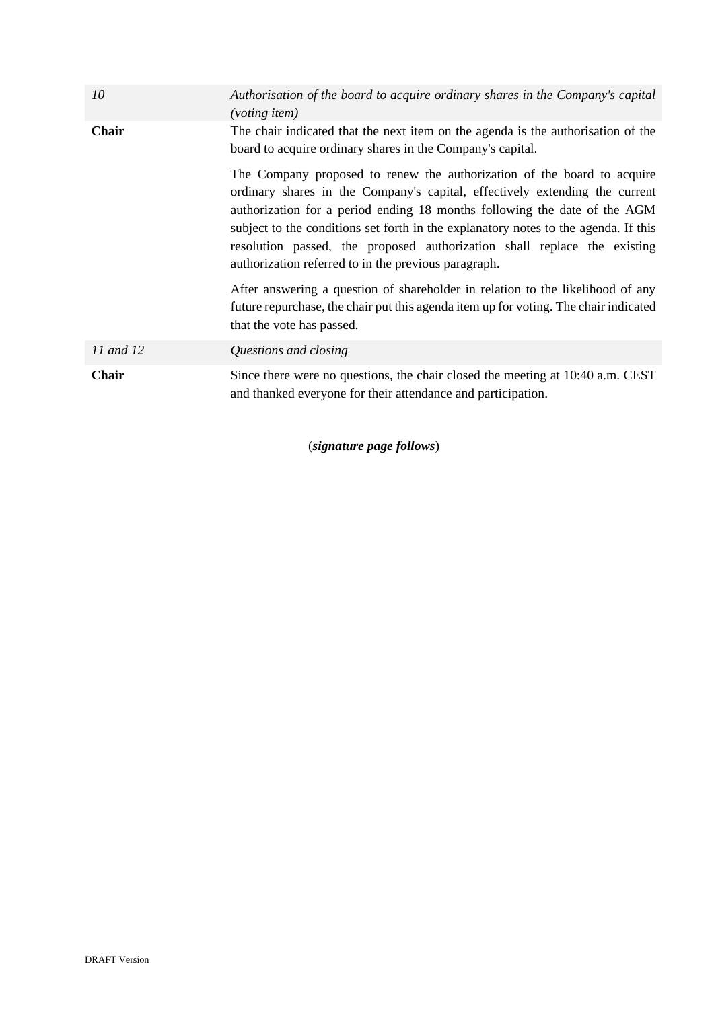| 10        | Authorisation of the board to acquire ordinary shares in the Company's capital<br><i>(voting item)</i>                                                                                                                                                                                                                                                                                                                                                         |
|-----------|----------------------------------------------------------------------------------------------------------------------------------------------------------------------------------------------------------------------------------------------------------------------------------------------------------------------------------------------------------------------------------------------------------------------------------------------------------------|
| Chair     | The chair indicated that the next item on the agenda is the authorisation of the<br>board to acquire ordinary shares in the Company's capital.                                                                                                                                                                                                                                                                                                                 |
|           | The Company proposed to renew the authorization of the board to acquire<br>ordinary shares in the Company's capital, effectively extending the current<br>authorization for a period ending 18 months following the date of the AGM<br>subject to the conditions set forth in the explanatory notes to the agenda. If this<br>resolution passed, the proposed authorization shall replace the existing<br>authorization referred to in the previous paragraph. |
|           | After answering a question of shareholder in relation to the likelihood of any<br>future repurchase, the chair put this agenda item up for voting. The chair indicated<br>that the vote has passed.                                                                                                                                                                                                                                                            |
| 11 and 12 | Questions and closing                                                                                                                                                                                                                                                                                                                                                                                                                                          |
| Chair     | Since there were no questions, the chair closed the meeting at 10:40 a.m. CEST<br>and thanked everyone for their attendance and participation.                                                                                                                                                                                                                                                                                                                 |

(*signature page follows*)